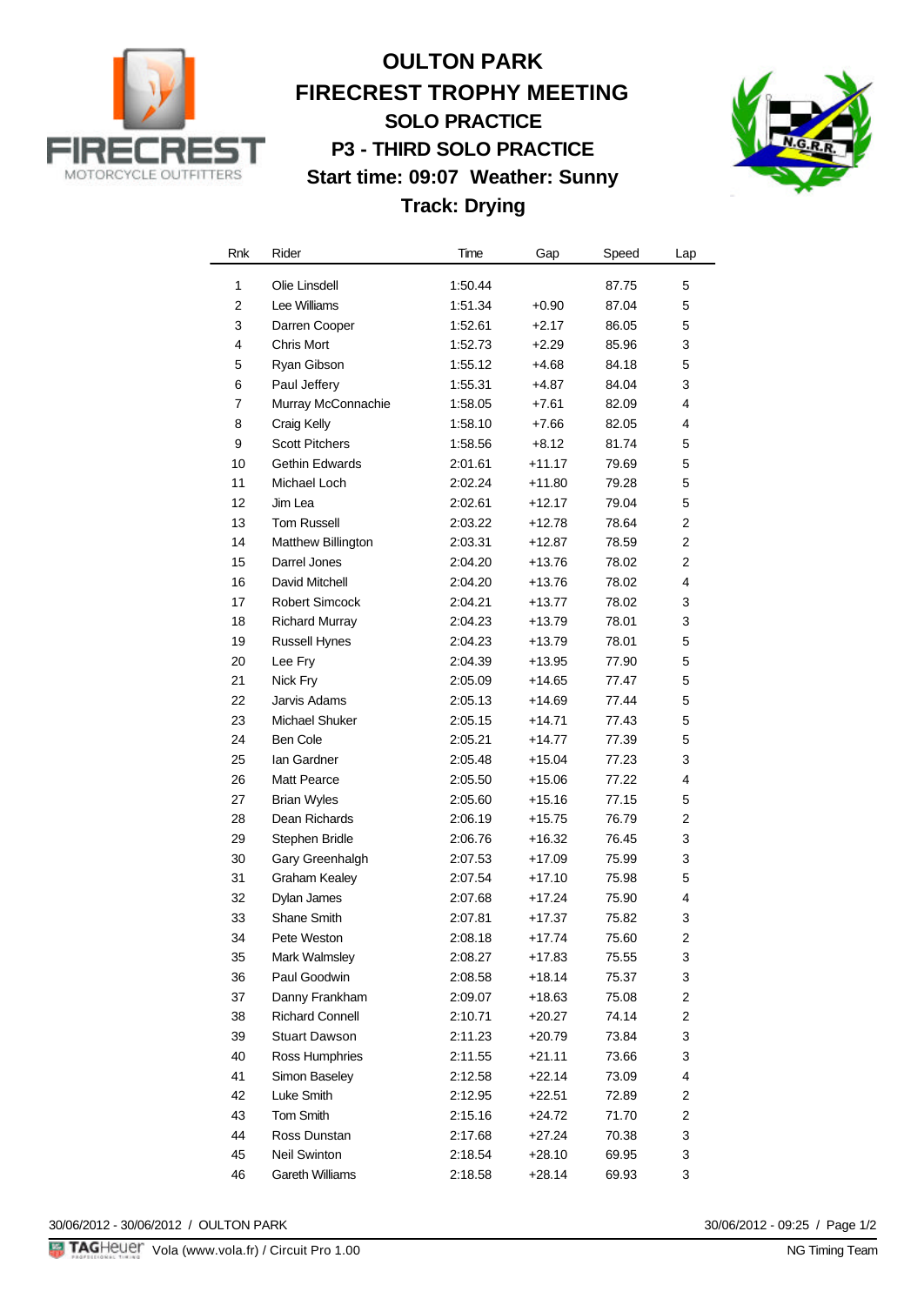

# **OULTON PARK FIRECREST TROPHY MEETING SOLO PRACTICE P3 - THIRD SOLO PRACTICE Start time: 09:07 Weather: Sunny Track: Drying**



| Rnk            | Rider                  | Time    | Gap      | Speed | Lap            |
|----------------|------------------------|---------|----------|-------|----------------|
| 1              | Olie Linsdell          | 1:50.44 |          | 87.75 | 5              |
| $\overline{2}$ | Lee Williams           | 1:51.34 | $+0.90$  | 87.04 | 5              |
| 3              | Darren Cooper          | 1:52.61 | $+2.17$  | 86.05 | 5              |
| 4              | <b>Chris Mort</b>      | 1:52.73 | $+2.29$  | 85.96 | 3              |
| 5              | Ryan Gibson            | 1:55.12 | $+4.68$  | 84.18 | 5              |
| 6              | Paul Jeffery           | 1:55.31 | $+4.87$  | 84.04 | 3              |
| 7              | Murray McConnachie     | 1:58.05 | $+7.61$  | 82.09 | 4              |
| 8              | Craig Kelly            | 1:58.10 | $+7.66$  | 82.05 | 4              |
| 9              | <b>Scott Pitchers</b>  | 1:58.56 | $+8.12$  | 81.74 | 5              |
| 10             | Gethin Edwards         | 2:01.61 | $+11.17$ | 79.69 | 5              |
| 11             | Michael Loch           | 2:02.24 | +11.80   | 79.28 | 5              |
| 12             | Jim Lea                | 2:02.61 | +12.17   | 79.04 | 5              |
| 13             | <b>Tom Russell</b>     | 2:03.22 | +12.78   | 78.64 | $\overline{2}$ |
| 14             | Matthew Billington     | 2:03.31 | +12.87   | 78.59 | $\overline{2}$ |
| 15             | Darrel Jones           | 2:04.20 | +13.76   | 78.02 | 2              |
| 16             | David Mitchell         | 2:04.20 | $+13.76$ | 78.02 | 4              |
| 17             | <b>Robert Simcock</b>  | 2:04.21 | +13.77   | 78.02 | 3              |
| 18             | <b>Richard Murray</b>  | 2:04.23 | +13.79   | 78.01 | 3              |
| 19             | <b>Russell Hynes</b>   | 2:04.23 | $+13.79$ | 78.01 | 5              |
| 20             | Lee Fry                | 2:04.39 | +13.95   | 77.90 | 5              |
| 21             | Nick Fry               | 2:05.09 | +14.65   | 77.47 | 5              |
| 22             | Jarvis Adams           | 2:05.13 | $+14.69$ | 77.44 | 5              |
| 23             | Michael Shuker         | 2:05.15 | $+14.71$ | 77.43 | 5              |
| 24             | <b>Ben Cole</b>        | 2:05.21 | $+14.77$ | 77.39 | 5              |
| 25             | lan Gardner            | 2:05.48 | $+15.04$ | 77.23 | 3              |
| 26             | <b>Matt Pearce</b>     | 2:05.50 | $+15.06$ | 77.22 | 4              |
| 27             | <b>Brian Wyles</b>     | 2:05.60 | +15.16   | 77.15 | 5              |
| 28             | Dean Richards          | 2:06.19 | $+15.75$ | 76.79 | 2              |
| 29             | Stephen Bridle         | 2:06.76 | +16.32   | 76.45 | 3              |
| 30             | Gary Greenhalgh        | 2:07.53 | +17.09   | 75.99 | 3              |
| 31             | <b>Graham Kealey</b>   | 2:07.54 | $+17.10$ | 75.98 | 5              |
| 32             | Dylan James            | 2:07.68 | $+17.24$ | 75.90 | 4              |
| 33             | Shane Smith            | 2:07.81 | $+17.37$ | 75.82 | 3              |
| 34             | Pete Weston            | 2:08.18 | $+17.74$ | 75.60 | $\mathfrak{p}$ |
| 35             | Mark Walmsley          | 2:08.27 | +17.83   | 75.55 | 3              |
| 36             | Paul Goodwin           | 2:08.58 | $+18.14$ | 75.37 | 3              |
| 37             | Danny Frankham         | 2:09.07 | +18.63   | 75.08 | 2              |
| 38             | <b>Richard Connell</b> | 2:10.71 | $+20.27$ | 74.14 | 2              |
| 39             | <b>Stuart Dawson</b>   | 2:11.23 | $+20.79$ | 73.84 | 3              |
| 40             | Ross Humphries         | 2:11.55 | $+21.11$ | 73.66 | 3              |
| 41             | Simon Baseley          | 2:12.58 | $+22.14$ | 73.09 | 4              |
| 42             | Luke Smith             | 2:12.95 | $+22.51$ | 72.89 | 2              |
| 43             | Tom Smith              | 2:15.16 | $+24.72$ | 71.70 | 2              |
| 44             | Ross Dunstan           | 2:17.68 | $+27.24$ | 70.38 | 3              |
| 45             | <b>Neil Swinton</b>    | 2:18.54 | $+28.10$ | 69.95 | 3              |
| 46             | Gareth Williams        | 2:18.58 | $+28.14$ | 69.93 | 3              |

30/06/2012 - 30/06/2012 / OULTON PARK

30/06/2012 - 09:25 / Page 1/2<br>NG Timing Team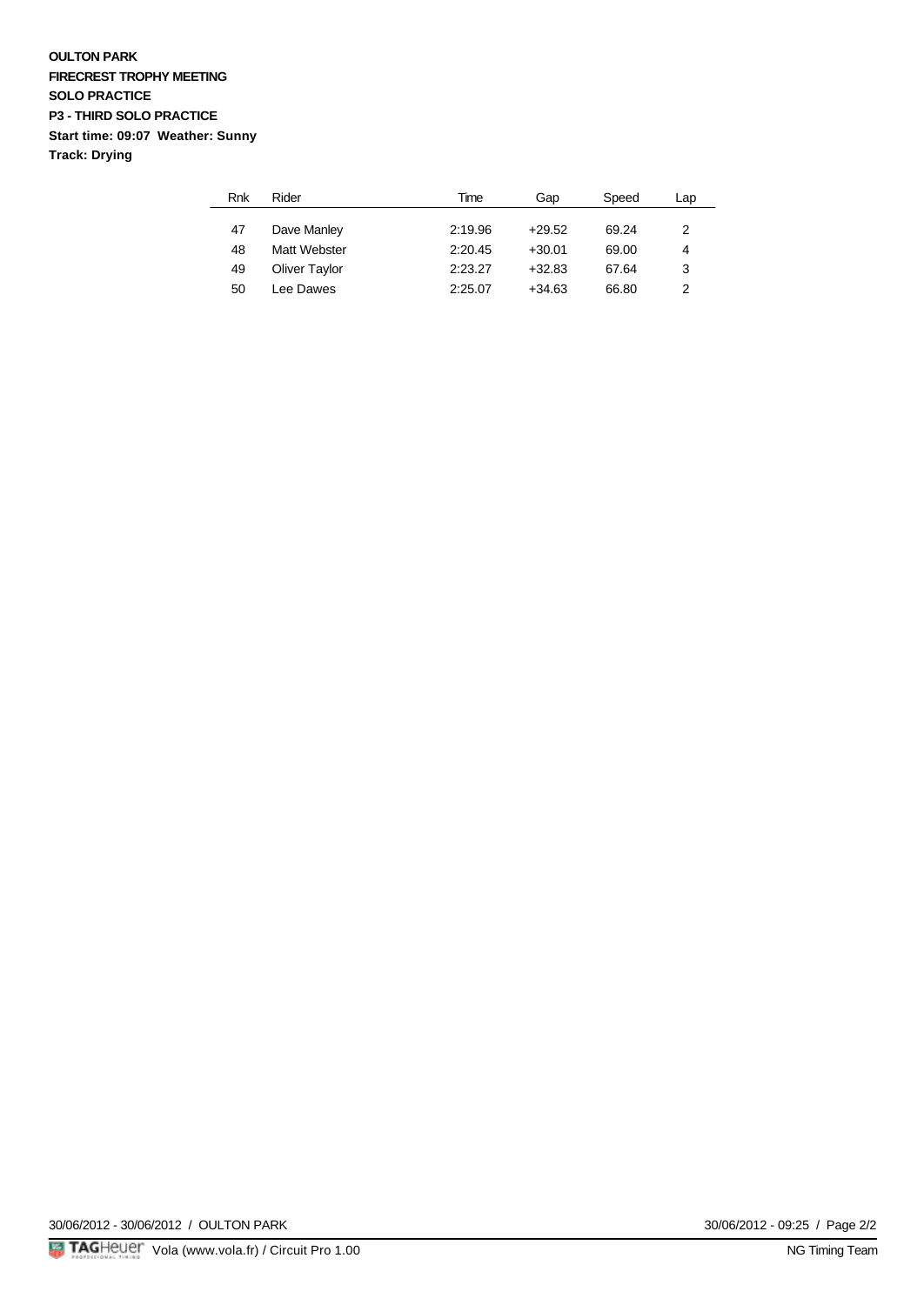## **OULTON PARK FIRECREST TROPHY MEETING SOLO PRACTICE P3 - THIRD SOLO PRACTICE Start time: 09:07 Weather: Sunny Track: Drying**

| Rnk | Rider                | Time    | Gap      | Speed | Lap |
|-----|----------------------|---------|----------|-------|-----|
|     |                      |         |          | 69.24 |     |
| 47  | Dave Manley          | 2:19.96 | $+29.52$ |       | 2   |
| 48  | Matt Webster         | 2:20.45 | $+30.01$ | 69.00 | 4   |
| 49  | <b>Oliver Taylor</b> | 2:23.27 | $+32.83$ | 67.64 | 3   |
| 50  | I ee Dawes           | 2:25.07 | $+34.63$ | 66.80 | 2   |

30/06/2012 - 30/06/2012 / OULTON PARK

30/06/2012 - 09:25 / Page 2/2<br>NG Timing Team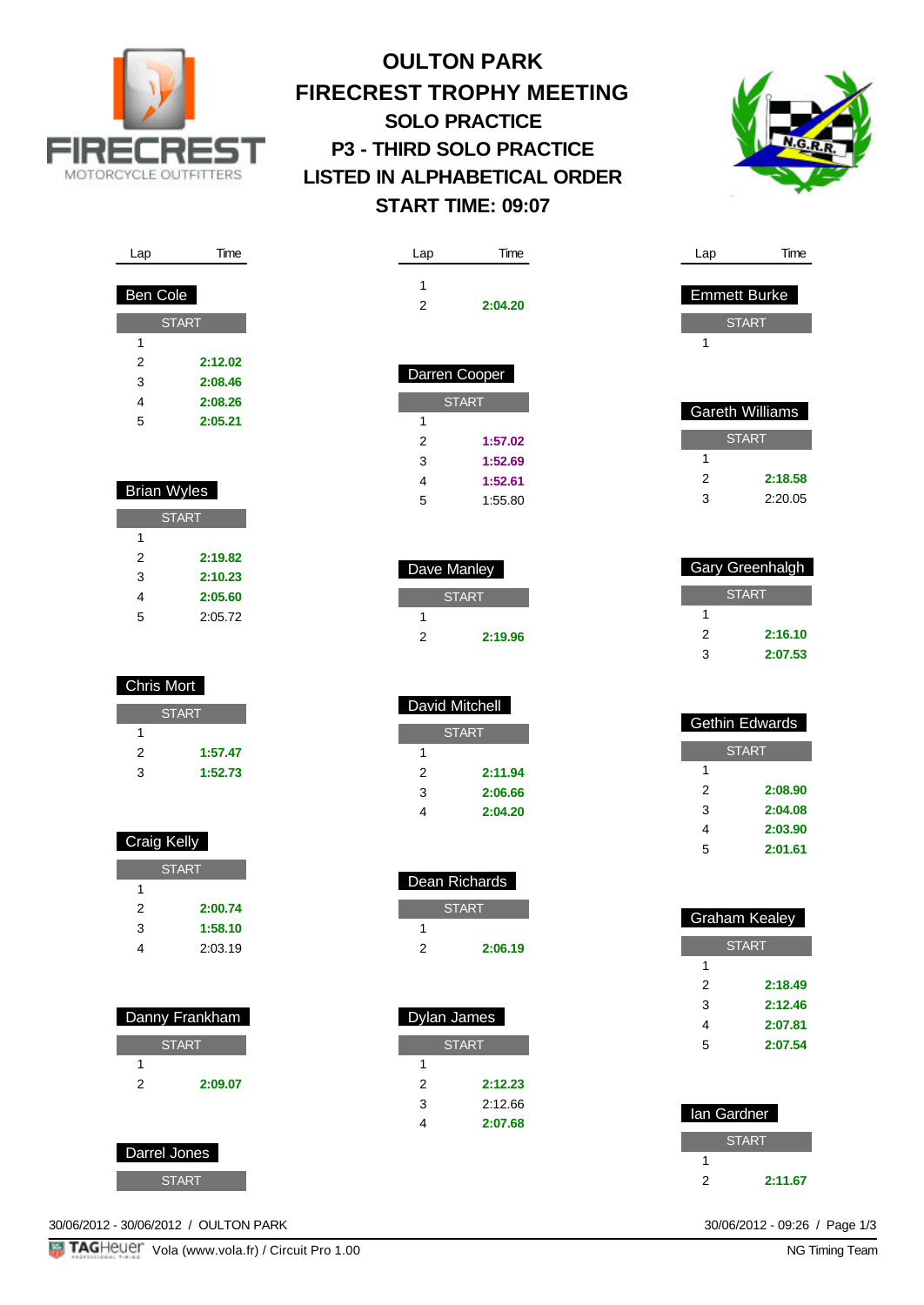

# **OULTON PARK FIRECREST TROPHY MEETING SOLO PRACTICE P3 - THIRD SOLO PRACTICE LISTED IN ALPHABETICAL ORDER START TIME: 09:07**

Lap Time

2 **2:04.20**



| Lap             | Time         |  |  |  |  |
|-----------------|--------------|--|--|--|--|
|                 |              |  |  |  |  |
| <b>Ben Cole</b> |              |  |  |  |  |
|                 | <b>START</b> |  |  |  |  |
| 1               |              |  |  |  |  |
| 2               | 2:12.02      |  |  |  |  |
| 3               | 2:08.46      |  |  |  |  |
| 4               | 2:08.26      |  |  |  |  |
| 5               | 2:05.21      |  |  |  |  |

# Brian Wyles

| <b>START</b> |         |  |  |  |
|--------------|---------|--|--|--|
| 1            |         |  |  |  |
| 2            | 2:19.82 |  |  |  |
| 3            | 2:10.23 |  |  |  |
| 4            | 2:05.60 |  |  |  |
| 5            | 2:05.72 |  |  |  |

# Chris Mort **START** 1 2 **1:57.47** 3 **1:52.73**

| <b>Craig Kelly</b> |         |  |
|--------------------|---------|--|
| <b>START</b>       |         |  |
| 1                  |         |  |
| 2                  | 2:00.74 |  |
| 3                  | 1:58.10 |  |
| 4                  | 2:03.19 |  |
|                    |         |  |

| Danny Frankham |         |  |  |
|----------------|---------|--|--|
| <b>START</b>   |         |  |  |
|                |         |  |  |
| 2              | 2:09.07 |  |  |
|                |         |  |  |
|                |         |  |  |

30/06/2012 - 30/06/2012 / OULTON PARK

Darrel Jones

**START** 

| 1<br>2 | 2:04.2               |
|--------|----------------------|
|        | <b>Darren Cooper</b> |
|        | <b>START</b>         |
| ◢      |                      |

| 1 |         |
|---|---------|
| 2 | 1:57.02 |
| 3 | 1:52.69 |
| 4 | 1:52.61 |
| 5 | 1:55.80 |

Dave Manley

1

1

1

1

**START** 

2 **2:19.96**

2 **2:11.94** 3 **2:06.66** 4 **2:04.20**

 Dean Richards **START** 

2 **2:06.19**

**START** 

2 **2:12.23** 3 2:12.66 4 **2:07.68**

Dylan James

 David Mitchell **START** 

| Gareth Williams |         |  |  |  |
|-----------------|---------|--|--|--|
| <b>START</b>    |         |  |  |  |
|                 |         |  |  |  |
| 2               | 2:18.58 |  |  |  |
| 3               | 2:20.05 |  |  |  |
|                 |         |  |  |  |

Lap Time

 Emmett Burke START

1

|   | Gary Greenhalgh |  |  |
|---|-----------------|--|--|
|   | <b>START</b>    |  |  |
|   |                 |  |  |
| 2 | 2:16.10         |  |  |
| 3 | 2:07.53         |  |  |

| <b>Gethin Edwards</b> |         |  |
|-----------------------|---------|--|
| <b>START</b>          |         |  |
| 1                     |         |  |
| 2                     | 2:08.90 |  |
| 3                     | 2:04.08 |  |
| 4                     | 2:03.90 |  |
| 5                     | 2:01.61 |  |

| Graham Kealey |         |
|---------------|---------|
| <b>START</b>  |         |
| 1             |         |
| 2             | 2:18.49 |
| 3             | 2:12.46 |
| 4             | 2:07.81 |
| 5             | 2:07.54 |
|               |         |

| lan Gardner  |         |  |
|--------------|---------|--|
| <b>START</b> |         |  |
|              |         |  |
| 2            | 2:11.67 |  |

30/06/2012 - 09:26 / Page 1/3<br>NG Timing Team

**TAGHeuer** Vola (www.vola.fr) / Circuit Pro 1.00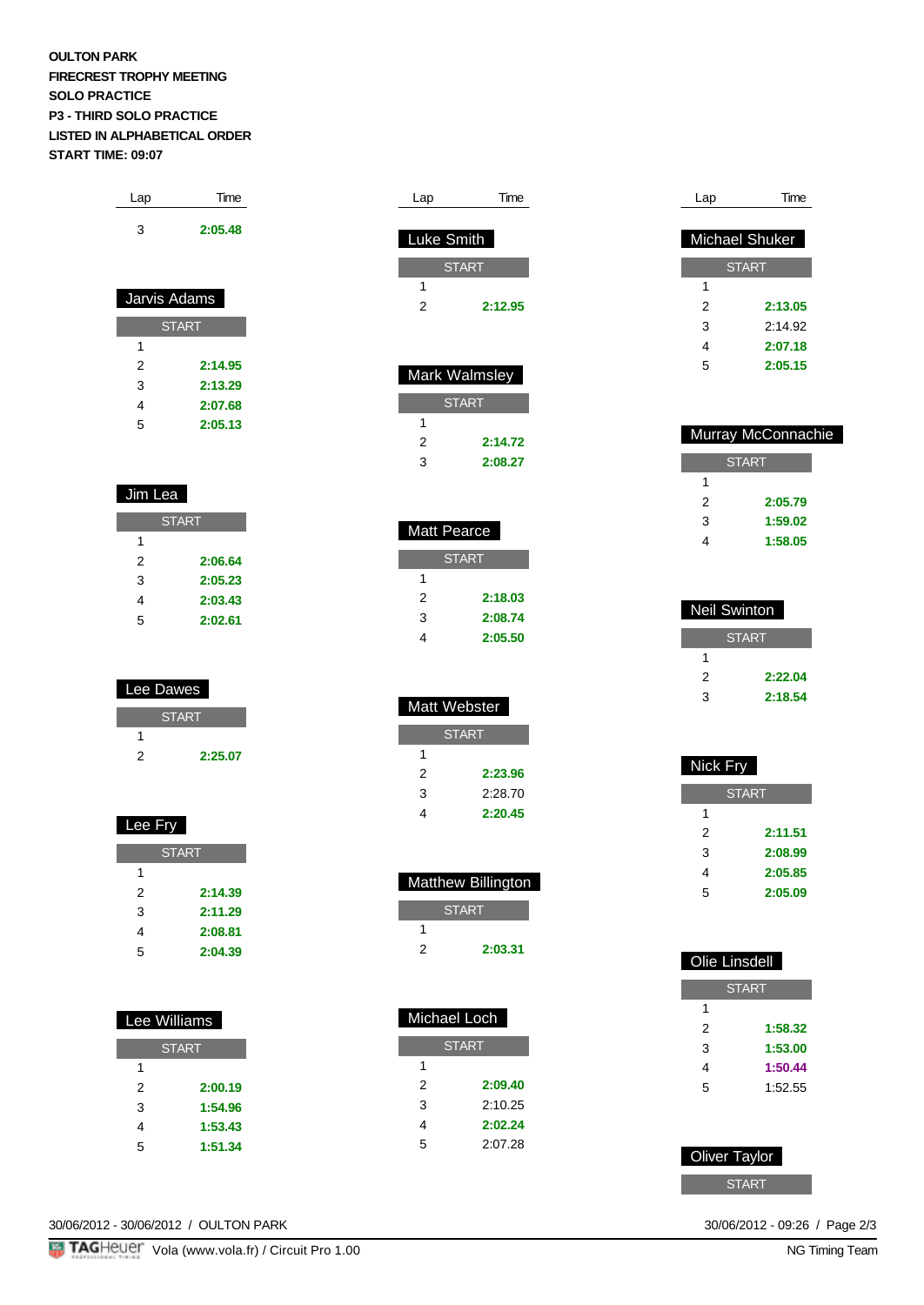## **OULTON PARK FIRECREST TROPHY MEETING SOLO PRACTICE P3 - THIRD SOLO PRACTICE LISTED IN ALPHABETICAL ORDER START TIME: 09:07**

| Lap | Time    |
|-----|---------|
| 3   | 2:05.48 |

| Jarvis Adams |         |  |
|--------------|---------|--|
| <b>START</b> |         |  |
| 1            |         |  |
| 2            | 2:14.95 |  |
| 3            | 2:13.29 |  |
| 4            | 2:07.68 |  |
| 5            | 2:05.13 |  |

## Jim Lea

I.

| <b>START</b> |         |
|--------------|---------|
| 1            |         |
| 2            | 2:06.64 |
| 3            | 2:05.23 |
| 4            | 2:03.43 |
| 5            | 2:02.61 |

| Lee Dawes |              |
|-----------|--------------|
|           | <b>START</b> |
|           |              |
| 2         | 2:25.07      |

| Lee Fry |              |
|---------|--------------|
|         | <b>START</b> |
| 1       |              |
| 2       | 2:14.39      |
| 3       | 2:11.29      |
| 4       | 2:08.81      |
| 5       | 2:04.39      |
|         |              |

| Lee Williams |         |  |
|--------------|---------|--|
| <b>START</b> |         |  |
| 1            |         |  |
| 2            | 2:00.19 |  |
| 3            | 1:54.96 |  |
| 4            | 1:53.43 |  |
| 5            | 1:51.34 |  |

| Luke Smith    |  |
|---------------|--|
| <b>START</b>  |  |
|               |  |
| 2:12.95       |  |
|               |  |
|               |  |
| Mark Walmsley |  |
|               |  |
|               |  |
| 2:14.72       |  |
| 2:08.27       |  |
|               |  |
|               |  |
|               |  |

Lap Time

| Matt Pearce  |         |
|--------------|---------|
| <b>START</b> |         |
| 1            |         |
| 2            | 2:18.03 |
| 3            | 2:08.74 |
|              | 2:05.50 |

| Matt Webster |         |  |
|--------------|---------|--|
| <b>START</b> |         |  |
| 1            |         |  |
| 2            | 2:23.96 |  |
| 3            | 2:28.70 |  |
|              | 2:20.45 |  |

| ۰ | <b>Matthew Billington</b> |
|---|---------------------------|
|   | <b>START</b>              |
|   |                           |
| 2 | 2:03.31                   |

| Michael Loch |         |
|--------------|---------|
| <b>START</b> |         |
| 1            |         |
| 2            | 2:09.40 |
| 3            | 2:10.25 |
| 4            | 2:02.24 |
| 5            | 2:07.28 |

| Lap                   | Time         |
|-----------------------|--------------|
|                       |              |
| <b>Michael Shuker</b> |              |
|                       | <b>START</b> |
| 1                     |              |
| 2                     | 2:13.05      |
| 3                     | 2:14.92      |
| 4                     | 2:07.18      |
| 5                     | 2:05.15      |

| Murray McConnachie |         |
|--------------------|---------|
| <b>START</b>       |         |
|                    |         |
| 2                  | 2:05.79 |
| 3                  | 1:59.02 |
|                    | 1:58.05 |
|                    |         |

| Neil Swinton |         |
|--------------|---------|
| <b>START</b> |         |
|              |         |
| 2            | 2:22.04 |
| 3            | 2:18.54 |

| Nick Fry     |         |
|--------------|---------|
| <b>START</b> |         |
| 1            |         |
| 2            | 2:11.51 |
| 3            | 2:08.99 |
| 4            | 2:05.85 |
| 5            | 2:05.09 |

| <b>Olie Linsdell</b> |              |  |
|----------------------|--------------|--|
|                      | <b>START</b> |  |
| 1                    |              |  |
| 2                    | 1:58.32      |  |
| 3                    | 1:53.00      |  |
| 4                    | 1:50.44      |  |
| 5                    | 1:52.55      |  |
|                      |              |  |
|                      |              |  |
| <b>Oliver Taylor</b> |              |  |

**START** 

30/06/2012 - 09:26 / Page 2/3<br>NG Timing Team

30/06/2012 - 30/06/2012 / OULTON PARK